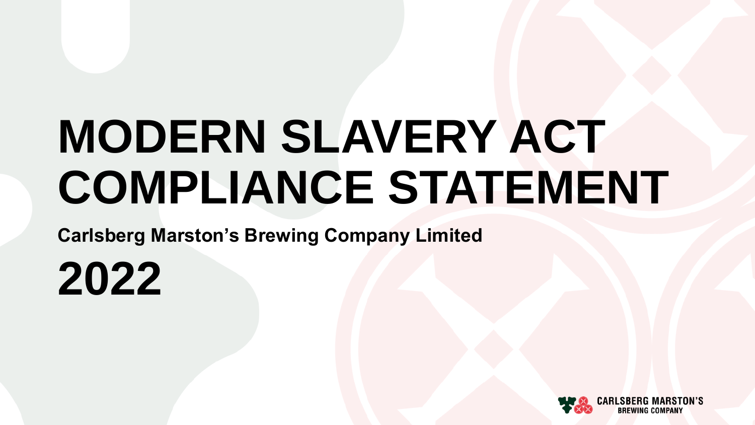# **MODERN SLAVERY ACT COMPLIANCE STATEMENT**

**Carlsberg Marston's Brewing Company Limited**

**2022**

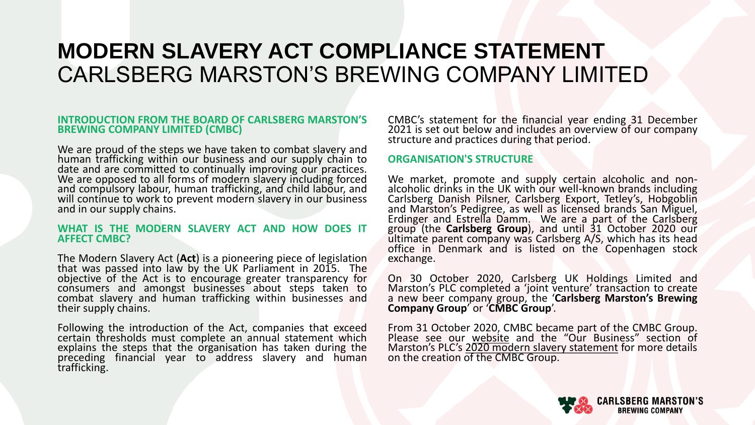### **INTRODUCTION FROM THE BOARD OF CARLSBERG MARSTON'S BREWING COMPANY LIMITED (CMBC)**

We are proud of the steps we have taken to combat slavery and human trafficking within our business and our supply chain to date and are committed to continually improving our practices. We are opposed to all forms of modern slavery including forced and compulsory labour, human trafficking, and child labour, and will continue to work to prevent modern slavery in our business and in our supply chains.

#### **WHAT IS THE MODERN SLAVERY ACT AND HOW DOES IT AFFECT CMBC?**

The Modern Slavery Act (**Act**) is a pioneering piece of legislation that was passed into law by the UK Parliament in 2015. The objective of the Act is to encourage greater transparency for consumers and amongst businesses about steps taken to combat slavery and human trafficking within businesses and their supply chains.

Following the introduction of the Act, companies that exceed certain thresholds must complete an annual statement which explains the steps that the organisation has taken during the preceding financial year to address slavery and human trafficking.

CMBC's statement for the financial year ending 31 December 2021 is set out below and includes an overview of our company structure and practices during that period.

### **ORGANISATION'S STRUCTURE**

We market, promote and supply certain alcoholic and nonalcoholic drinks in the UK with our well-known brands including Carlsberg Danish Pilsner, Carlsberg Export, Tetley's, Hobgoblin and Marston's Pedigree, as well as licensed brands San Miguel, Erdinger and Estrella Damm. We are a part of the Carlsberg group (the **Carlsberg Group**), and until 31 October 2020 our ultimate parent company was Carlsberg A/S, which has its head office in Denmark and is listed on the Copenhagen stock exchange.

On 30 October 2020, Carlsberg UK Holdings Limited and Marston's PLC completed a 'joint venture' transaction to create a new beer company group, the '**Carlsberg Marston's Brewing Company Group**' or '**CMBC Group**'.

From 31 October 2020, CMBC became part of the CMBC Group. Please see our [website](https://www.carlsbergmarstons.co.uk/newsroom/two-breweries-become-one-as-carlsberg-marston-s-brewing-company/) and the "Our Business" section of Marston's PLC's 2020 modern slavery [statement](https://www.marstonspubs.co.uk/docs/responsibility/slavery-and-human-trafficking-statement-2020.pdf) for more details on the creation of the CMBC Group.

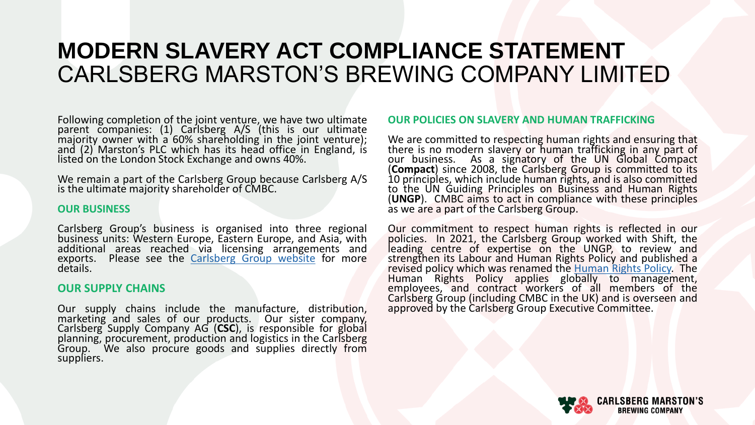Following completion of the joint venture, we have two ultimate parent companies: (1) Carlsberg A/S (this is our ultimate majority owner with a 60% shareholding in the joint venture); and (2) Marston's PLC which has its head office in England, is listed on the London Stock Exchange and owns 40%.

We remain a part of the Carlsberg Group because Carlsberg A/S is the ultimate majority shareholder of CMBC.

### **OUR BUSINESS**

Carlsberg Group's business is organised into three regional business units: Western Europe, Eastern Europe, and Asia, with additional areas reached via licensing arrangements and exports. Please see the [Carlsberg](https://www.carlsberggroup.com/) Group website for more details.

### **OUR SUPPLY CHAINS**

Our supply chains include the manufacture, distribution, marketing and sales of our products. Our sister company, Carlsberg Supply Company AG (**CSC**), is responsible for global planning, procurement, production and logistics in the Carlsberg Group. We also procure goods and supplies directly from suppliers.

### **OUR POLICIES ON SLAVERY AND HUMAN TRAFFICKING**

We are committed to respecting human rights and ensuring that there is no modern slavery or human trafficking in any part of our business. As a signatory of the UN Global Compact (**Compact**) since 2008, the Carlsberg Group is committed to its 10 principles, which include human rights, and is also committed to the UN Guiding Principles on Business and Human Rights (**UNGP**). CMBC aims to act in compliance with these principles as we are a part of the Carlsberg Group.

Our commitment to respect human rights is reflected in our policies. In 2021, the Carlsberg Group worked with Shift, the leading centre of expertise on the UNGP, to review and strengthen its Labour and Human Rights Policy and published a revised policy which was renamed the [Human](https://www.carlsberggroup.com/media/46355/human-rights-policy.pdf) Rights Policy The Human Rights Policy applies globally to management, employees, and contract workers of all members of the Carlsberg Group (including CMBC in the UK) and is overseen and approved by the Carlsberg Group Executive Committee.

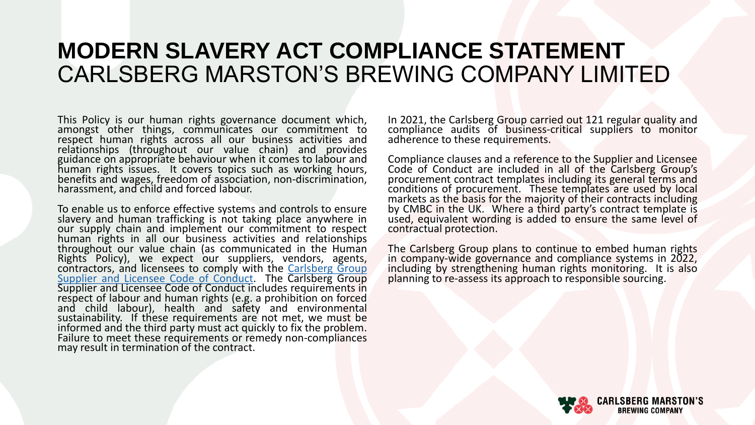This Policy is our human rights governance document which, amongst other things, communicates our commitment to respect human rights across all our business activities and relationships (throughout our value chain) and provides guidance on appropriate behaviour when it comes to labour and human rights issues. It covers topics such as working hours, benefits and wages, freedom of association, non-discrimination, harassment, and child and forced labour.

To enable us to enforce effective systems and controls to ensure slavery and human trafficking is not taking place anywhere in our supply chain and implement our commitment to respect human rights in all our business activities and relationships throughout our value chain (as communicated in the Human Rights Policy), we expect our suppliers, vendors, agents, [contractors,](https://www.carlsberggroup.com/media/38454/supplier-licensee-code-of-conduct-2019-vfinal.pdf) and licensees to comply with the Carlsberg Group Supplier and Licensee Code of Conduct. The Carlsberg Group Supplier and Licensee Code of Conduct includes requirements in respect of labour and human rights (e.g. a prohibition on forced and child labour), health and safety and environmental sustainability. If these requirements are not met, we must be informed and the third party must act quickly to fix the problem. Failure to meet these requirements or remedy non-compliances may result in termination of the contract.

In 2021, the Carlsberg Group carried out 121 regular quality and compliance audits of business-critical suppliers to monitor adherence to these requirements.

Compliance clauses and a reference to the Supplier and Licensee Code of Conduct are included in all of the Carlsberg Group's procurement contract templates including its general terms and conditions of procurement. These templates are used by local markets as the basis for the majority of their contracts including by CMBC in the UK. Where a third party's contract template is used, equivalent wording is added to ensure the same level of contractual protection.

The Carlsberg Group plans to continue to embed human rights in company-wide governance and compliance systems in 2022, including by strengthening human rights monitoring. It is also planning to re-assess its approach to responsible sourcing.

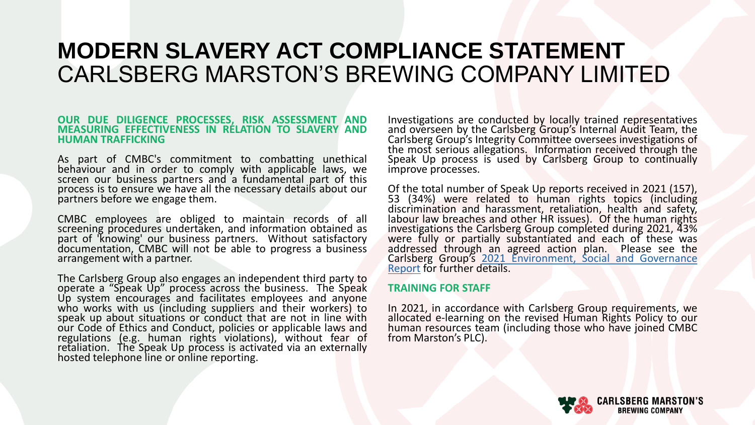#### **OUR DUE DILIGENCE PROCESSES, RISK ASSESSMENT AND MEASURING EFFECTIVENESS IN RELATION TO SLAVERY AND HUMAN TRAFFICKING**

As part of CMBC's commitment to combatting unethical behaviour and in order to comply with applicable laws, we screen our business partners and a fundamental part of this process is to ensure we have all the necessary details about our partners before we engage them.

CMBC employees are obliged to maintain records of all screening procedures undertaken, and information obtained as part of 'knowing' our business partners. Without satisfactory documentation, CMBC will not be able to progress a business arrangement with a partner.

The Carlsberg Group also engages an independent third party to operate a "Speak Up" process across the business. The Speak Up system encourages and facilitates employees and anyone who works with us (including suppliers and their workers) to speak up about situations or conduct that are not in line with our Code of Ethics and Conduct, policies or applicable laws and regulations (e.g. human rights violations), without fear of retaliation. The Speak Up process is activated via an externally hosted telephone line or online reporting.

Investigations are conducted by locally trained representatives and overseen by the Carlsberg Group's Internal Audit Team, the Carlsberg Group's Integrity Committee oversees investigations of the most serious allegations. Information received through the Speak Up process is used by Carlsberg Group to continually improve processes.

Of the total number of Speak Up reports received in 2021 (157), 53 (34%) were related to human rights topics (including discrimination and harassment, retaliation, health and safety, labour law breaches and other HR issues). Of the human rights investigations the Carlsberg Group completed during 2021, 43% were fully or partially substantiated and each of these was addressed through an agreed action plan. Please see the Carlsberg Group's 2021 [Environment,](https://www.carlsberggroup.com/media/48860/carlsberg-group-esg-report-2021.pdf) Social and Governance Report for further details.

### **TRAINING FOR STAFF**

In 2021, in accordance with Carlsberg Group requirements, we allocated e-learning on the revised Human Rights Policy to our human resources team (including those who have joined CMBC from Marston's PLC).

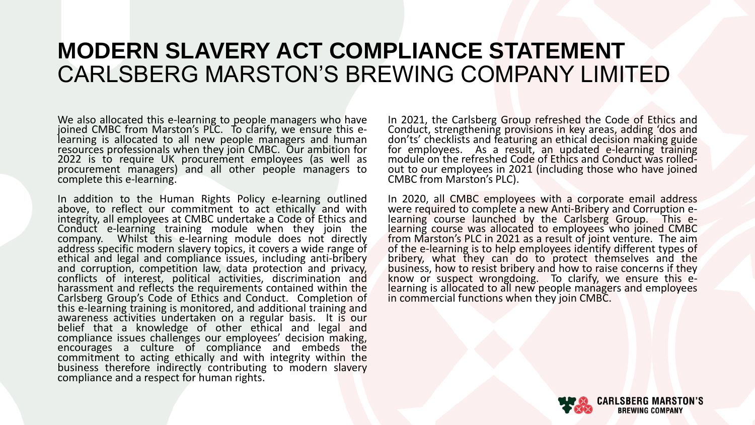We also allocated this e-learning to people managers who have joined CMBC from Marston's PLC. To clarify, we ensure this elearning is allocated to all new people managers and human resources professionals when they join CMBC. Our ambition for 2022 is to require UK procurement employees (as well as procurement managers) and all other people managers to complete this e-learning.

In addition to the Human Rights Policy e-learning outlined above, to reflect our commitment to act ethically and with integrity, all employees at CMBC undertake a Code of Ethics and Conduct e-learning training module when they join the company. Whilst this e-learning module does not directly address specific modern slavery topics, it covers a wide range of ethical and legal and compliance issues, including anti-bribery and corruption, competition law, data protection and privacy, conflicts of interest, political activities, discrimination and harassment and reflects the requirements contained within the Carlsberg Group's Code of Ethics and Conduct. Completion of this e-learning training is monitored, and additional training and awareness activities undertaken on a regular basis. It is our belief that a knowledge of other ethical and legal and compliance issues challenges our employees' decision making, encourages a culture of compliance and embeds the commitment to acting ethically and with integrity within the business therefore indirectly contributing to modern slavery compliance and a respect for human rights.

In 2021, the Carlsberg Group refreshed the Code of Ethics and Conduct, strengthening provisions in key areas, adding 'dos and don'ts' checklists and featuring an ethical decision making guide for employees. As a result, an updated e-learning training module on the refreshed Code of Ethics and Conduct was rolledout to our employees in 2021 (including those who have joined CMBC from Marston's PLC).

In 2020, all CMBC employees with a corporate email address were required to complete a new Anti-Bribery and Corruption elearning course launched by the Carlsberg Group. This elearning course was allocated to employees who joined CMBC from Marston's PLC in 2021 as a result of joint venture. The aim of the e-learning is to help employees identify different types of bribery, what they can do to protect themselves and the business, how to resist bribery and how to raise concerns if they know or suspect wrongdoing. To clarify, we ensure this elearning is allocated to all new people managers and employees in commercial functions when they join CMBC.